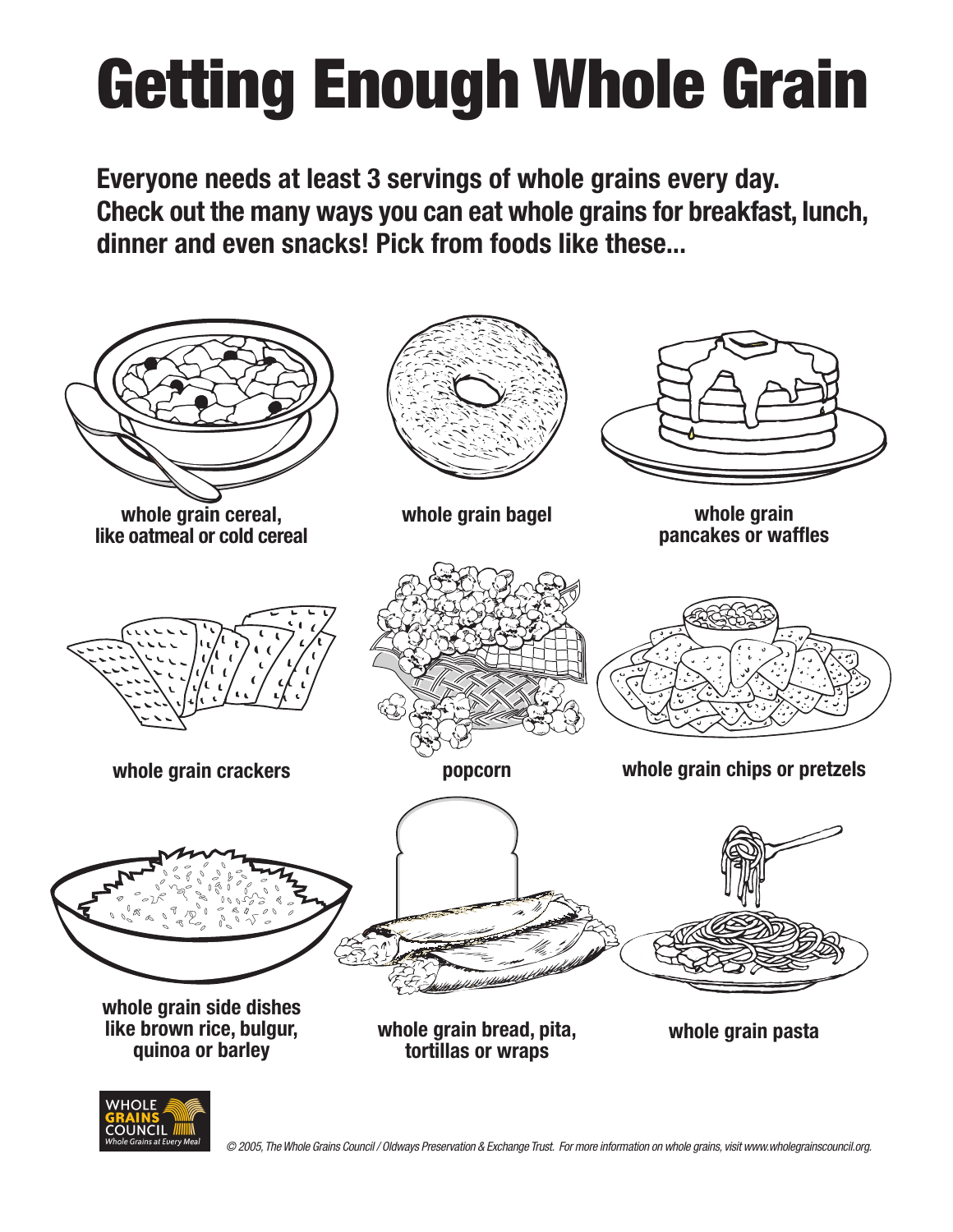# Getting Enough Whole Grain

**Everyone needs at least 3 servings of whole grains every day. Check out the many ways you can eat whole grains for breakfast, lunch, dinner and even snacks! Pick from foods like these...**